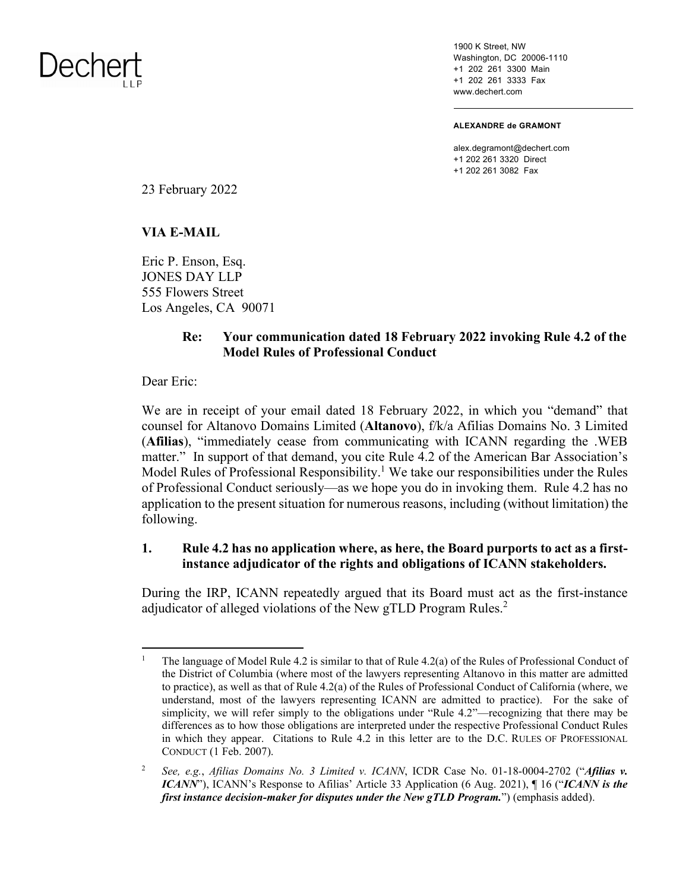

1900 K Street, NW Washington, DC 20006-1110 +1 202 261 3300 Main +1 202 261 3333 Fax www.dechert.com

**ALEXANDRE de GRAMONT** 

alex.degramont@dechert.com +1 202 261 3320 Direct +1 202 261 3082 Fax

23 February 2022

#### **VIA E-MAIL**

Eric P. Enson, Esq. JONES DAY LLP 555 Flowers Street Los Angeles, CA 90071

### **Re: Your communication dated 18 February 2022 invoking Rule 4.2 of the Model Rules of Professional Conduct**

Dear Eric:

We are in receipt of your email dated 18 February 2022, in which you "demand" that counsel for Altanovo Domains Limited (**Altanovo**), f/k/a Afilias Domains No. 3 Limited (**Afilias**), "immediately cease from communicating with ICANN regarding the .WEB matter." In support of that demand, you cite Rule 4.2 of the American Bar Association's Model Rules of Professional Responsibility.<sup>1</sup> We take our responsibilities under the Rules of Professional Conduct seriously—as we hope you do in invoking them. Rule 4.2 has no application to the present situation for numerous reasons, including (without limitation) the following.

#### **1. Rule 4.2 has no application where, as here, the Board purports to act as a firstinstance adjudicator of the rights and obligations of ICANN stakeholders.**

During the IRP, ICANN repeatedly argued that its Board must act as the first-instance adjudicator of alleged violations of the New gTLD Program Rules.<sup>2</sup>

<sup>1</sup> The language of Model Rule 4.2 is similar to that of Rule 4.2(a) of the Rules of Professional Conduct of the District of Columbia (where most of the lawyers representing Altanovo in this matter are admitted to practice), as well as that of Rule 4.2(a) of the Rules of Professional Conduct of California (where, we understand, most of the lawyers representing ICANN are admitted to practice). For the sake of simplicity, we will refer simply to the obligations under "Rule 4.2"—recognizing that there may be differences as to how those obligations are interpreted under the respective Professional Conduct Rules in which they appear. Citations to Rule 4.2 in this letter are to the D.C. RULES OF PROFESSIONAL CONDUCT (1 Feb. 2007).

<sup>2</sup> *See, e.g.*, *Afilias Domains No. 3 Limited v. ICANN*, ICDR Case No. 01-18-0004-2702 ("*Afilias v. ICANN*"), ICANN's Response to Afilias' Article 33 Application (6 Aug. 2021), ¶ 16 ("*ICANN is the first instance decision-maker for disputes under the New gTLD Program.*") (emphasis added).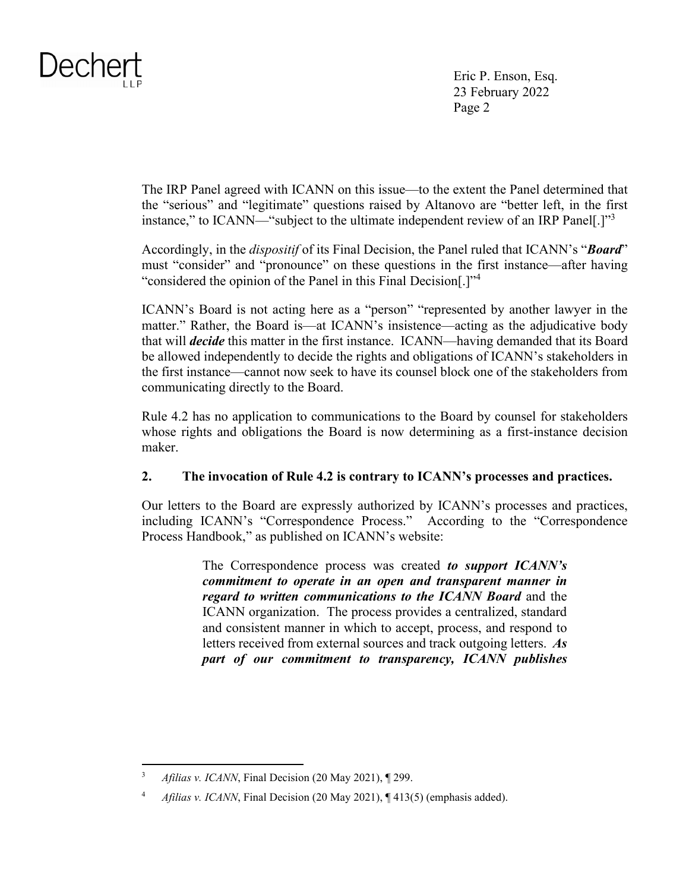Eric P. Enson, Esq. 23 February 2022 Page 2

The IRP Panel agreed with ICANN on this issue—to the extent the Panel determined that the "serious" and "legitimate" questions raised by Altanovo are "better left, in the first instance," to ICANN—"subject to the ultimate independent review of an IRP Panel[.]"<sup>3</sup>

Accordingly, in the *dispositif* of its Final Decision, the Panel ruled that ICANN's "*Board*" must "consider" and "pronounce" on these questions in the first instance—after having "considered the opinion of the Panel in this Final Decision[.]"<sup>4</sup>

ICANN's Board is not acting here as a "person" "represented by another lawyer in the matter." Rather, the Board is—at ICANN's insistence—acting as the adjudicative body that will *decide* this matter in the first instance. ICANN—having demanded that its Board be allowed independently to decide the rights and obligations of ICANN's stakeholders in the first instance—cannot now seek to have its counsel block one of the stakeholders from communicating directly to the Board.

Rule 4.2 has no application to communications to the Board by counsel for stakeholders whose rights and obligations the Board is now determining as a first-instance decision maker.

### **2. The invocation of Rule 4.2 is contrary to ICANN's processes and practices.**

Our letters to the Board are expressly authorized by ICANN's processes and practices, including ICANN's "Correspondence Process." According to the "Correspondence Process Handbook," as published on ICANN's website:

> The Correspondence process was created *to support ICANN's commitment to operate in an open and transparent manner in regard to written communications to the ICANN Board* and the ICANN organization. The process provides a centralized, standard and consistent manner in which to accept, process, and respond to letters received from external sources and track outgoing letters. *As part of our commitment to transparency, ICANN publishes*

<sup>3</sup> *Afilias v. ICANN*, Final Decision (20 May 2021), ¶ 299.

<sup>4</sup> *Afilias v. ICANN*, Final Decision (20 May 2021), ¶ 413(5) (emphasis added).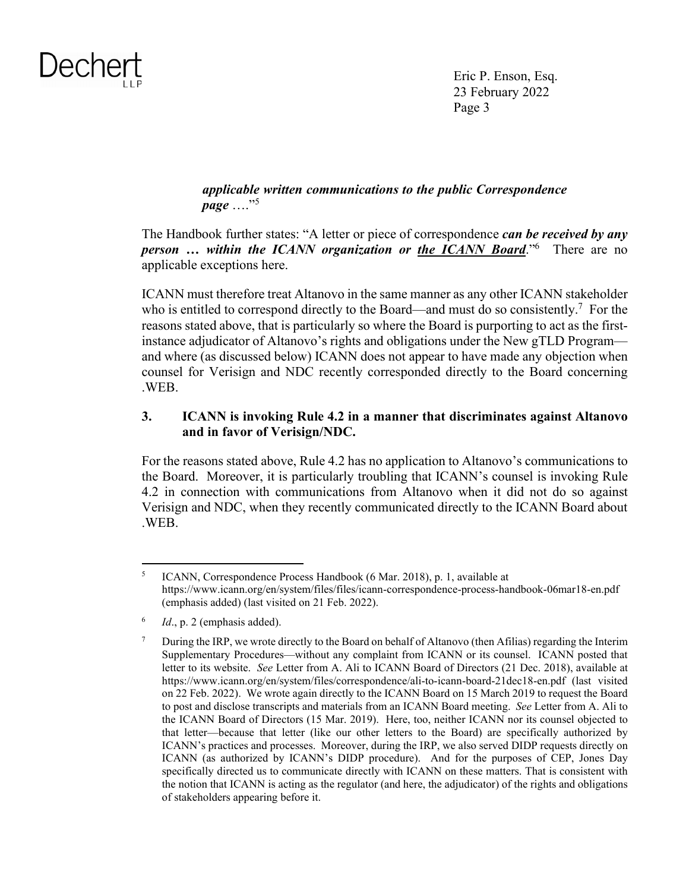

Eric P. Enson, Esq. 23 February 2022 Page 3

### *applicable written communications to the public Correspondence page* ...."<sup>5</sup>

The Handbook further states: "A letter or piece of correspondence *can be received by any person … within the ICANN organization or the ICANN Board*."<sup>6</sup> There are no applicable exceptions here.

ICANN must therefore treat Altanovo in the same manner as any other ICANN stakeholder who is entitled to correspond directly to the Board—and must do so consistently.<sup>7</sup> For the reasons stated above, that is particularly so where the Board is purporting to act as the firstinstance adjudicator of Altanovo's rights and obligations under the New gTLD Program and where (as discussed below) ICANN does not appear to have made any objection when counsel for Verisign and NDC recently corresponded directly to the Board concerning .WEB.

### **3. ICANN is invoking Rule 4.2 in a manner that discriminates against Altanovo and in favor of Verisign/NDC.**

For the reasons stated above, Rule 4.2 has no application to Altanovo's communications to the Board. Moreover, it is particularly troubling that ICANN's counsel is invoking Rule 4.2 in connection with communications from Altanovo when it did not do so against Verisign and NDC, when they recently communicated directly to the ICANN Board about .WEB.

<sup>5</sup> ICANN, Correspondence Process Handbook (6 Mar. 2018), p. 1, available at <https://www.icann.org/en/system/files/files/icann-correspondence-process-handbook-06mar18-en.pdf> (emphasis added) (last visited on 21 Feb. 2022).

<sup>6</sup> *Id*., p. 2 (emphasis added).

<sup>7</sup> During the IRP, we wrote directly to the Board on behalf of Altanovo (then Afilias) regarding the Interim Supplementary Procedures—without any complaint from ICANN or its counsel. ICANN posted that letter to its website. *See* Letter from A. Ali to ICANN Board of Directors (21 Dec. 2018), available at <https://www.icann.org/en/system/files/correspondence/ali-to-icann-board-21dec18-en.pdf>(last visited on 22 Feb. 2022). We wrote again directly to the ICANN Board on 15 March 2019 to request the Board to post and disclose transcripts and materials from an ICANN Board meeting. *See* Letter from A. Ali to the ICANN Board of Directors (15 Mar. 2019). Here, too, neither ICANN nor its counsel objected to that letter—because that letter (like our other letters to the Board) are specifically authorized by ICANN's practices and processes. Moreover, during the IRP, we also served DIDP requests directly on ICANN (as authorized by ICANN's DIDP procedure). And for the purposes of CEP, Jones Day specifically directed us to communicate directly with ICANN on these matters. That is consistent with the notion that ICANN is acting as the regulator (and here, the adjudicator) of the rights and obligations of stakeholders appearing before it.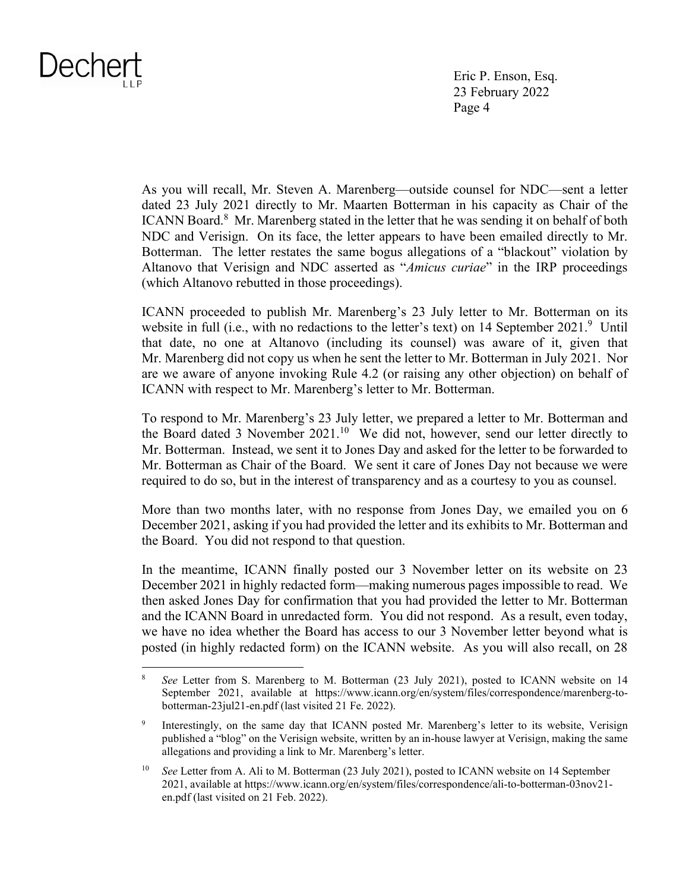Eric P. Enson, Esq. 23 February 2022 Page 4

As you will recall, Mr. Steven A. Marenberg—outside counsel for NDC—sent a letter dated 23 July 2021 directly to Mr. Maarten Botterman in his capacity as Chair of the ICANN Board.<sup>8</sup> Mr. Marenberg stated in the letter that he was sending it on behalf of both NDC and Verisign. On its face, the letter appears to have been emailed directly to Mr. Botterman. The letter restates the same bogus allegations of a "blackout" violation by Altanovo that Verisign and NDC asserted as "*Amicus curiae*" in the IRP proceedings (which Altanovo rebutted in those proceedings).

ICANN proceeded to publish Mr. Marenberg's 23 July letter to Mr. Botterman on its website in full (i.e., with no redactions to the letter's text) on 14 September  $2021$ .<sup>9</sup> Until that date, no one at Altanovo (including its counsel) was aware of it, given that Mr. Marenberg did not copy us when he sent the letter to Mr. Botterman in July 2021. Nor are we aware of anyone invoking Rule 4.2 (or raising any other objection) on behalf of ICANN with respect to Mr. Marenberg's letter to Mr. Botterman.

To respond to Mr. Marenberg's 23 July letter, we prepared a letter to Mr. Botterman and the Board dated 3 November 2021.<sup>10</sup> We did not, however, send our letter directly to Mr. Botterman. Instead, we sent it to Jones Day and asked for the letter to be forwarded to Mr. Botterman as Chair of the Board. We sent it care of Jones Day not because we were required to do so, but in the interest of transparency and as a courtesy to you as counsel.

More than two months later, with no response from Jones Day, we emailed you on 6 December 2021, asking if you had provided the letter and its exhibits to Mr. Botterman and the Board. You did not respond to that question.

In the meantime, ICANN finally posted our 3 November letter on its website on 23 December 2021 in highly redacted form—making numerous pages impossible to read. We then asked Jones Day for confirmation that you had provided the letter to Mr. Botterman and the ICANN Board in unredacted form. You did not respond. As a result, even today, we have no idea whether the Board has access to our 3 November letter beyond what is posted (in highly redacted form) on the ICANN website. As you will also recall, on 28

<sup>8</sup> *See* Letter from S. Marenberg to M. Botterman (23 July 2021), posted to ICANN website on 14 September 2021, available at [https://www.icann.org/en/system/files/correspondence/marenberg-to](https://www.icann.org/en/system/files/correspondence/marenberg-to-botterman-23jul21-en.pdf)[botterman-23jul21-en.pdf](https://www.icann.org/en/system/files/correspondence/marenberg-to-botterman-23jul21-en.pdf) (last visited 21 Fe. 2022).

<sup>9</sup> Interestingly, on the same day that ICANN posted Mr. Marenberg's letter to its website, Verisign published a "blog" on the Verisign website, written by an in-house lawyer at Verisign, making the same allegations and providing a link to Mr. Marenberg's letter.

<sup>10</sup> *See* Letter from A. Ali to M. Botterman (23 July 2021), posted to ICANN website on 14 September 2021, available at [https://www.icann.org/en/system/files/correspondence/ali-to-botterman-03nov21](https://www.icann.org/en/system/files/correspondence/ali-to-botterman-03nov21-en.pdf) [en.pdf \(](https://www.icann.org/en/system/files/correspondence/ali-to-botterman-03nov21-en.pdf)last visited on 21 Feb. 2022).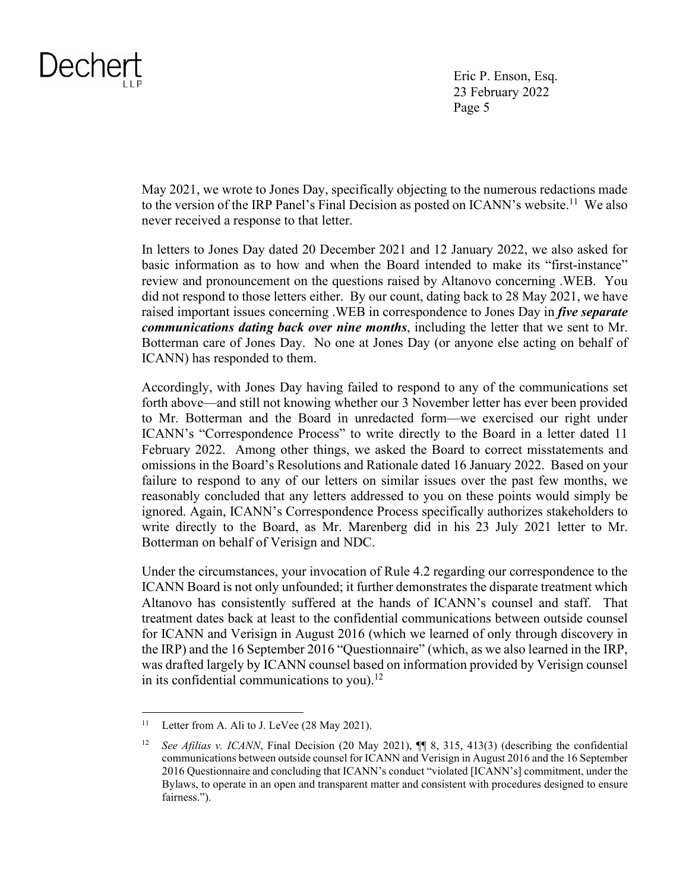Eric P. Enson, Esq. 23 February 2022 Page 5

May 2021, we wrote to Jones Day, specifically objecting to the numerous redactions made to the version of the IRP Panel's Final Decision as posted on ICANN's website.<sup>11</sup> We also never received a response to that letter.

In letters to Jones Day dated 20 December 2021 and 12 January 2022, we also asked for basic information as to how and when the Board intended to make its "first-instance" review and pronouncement on the questions raised by Altanovo concerning .WEB. You did not respond to those letters either. By our count, dating back to 28 May 2021, we have raised important issues concerning .WEB in correspondence to Jones Day in *five separate communications dating back over nine months*, including the letter that we sent to Mr. Botterman care of Jones Day. No one at Jones Day (or anyone else acting on behalf of ICANN) has responded to them.

Accordingly, with Jones Day having failed to respond to any of the communications set forth above—and still not knowing whether our 3 November letter has ever been provided to Mr. Botterman and the Board in unredacted form—we exercised our right under ICANN's "Correspondence Process" to write directly to the Board in a letter dated 11 February 2022. Among other things, we asked the Board to correct misstatements and omissions in the Board's Resolutions and Rationale dated 16 January 2022. Based on your failure to respond to any of our letters on similar issues over the past few months, we reasonably concluded that any letters addressed to you on these points would simply be ignored. Again, ICANN's Correspondence Process specifically authorizes stakeholders to write directly to the Board, as Mr. Marenberg did in his 23 July 2021 letter to Mr. Botterman on behalf of Verisign and NDC.

Under the circumstances, your invocation of Rule 4.2 regarding our correspondence to the ICANN Board is not only unfounded; it further demonstrates the disparate treatment which Altanovo has consistently suffered at the hands of ICANN's counsel and staff. That treatment dates back at least to the confidential communications between outside counsel for ICANN and Verisign in August 2016 (which we learned of only through discovery in the IRP) and the 16 September 2016 "Questionnaire" (which, as we also learned in the IRP, was drafted largely by ICANN counsel based on information provided by Verisign counsel in its confidential communications to you). $12$ 

<sup>&</sup>lt;sup>11</sup> Letter from A. Ali to J. LeVee (28 May 2021).

<sup>12</sup> *See Afilias v. ICANN*, Final Decision (20 May 2021), **[1]** 8, 315, 413(3) (describing the confidential communications between outside counsel for ICANN and Verisign in August 2016 and the 16 September 2016 Questionnaire and concluding that ICANN's conduct "violated [ICANN's] commitment, under the Bylaws, to operate in an open and transparent matter and consistent with procedures designed to ensure fairness.").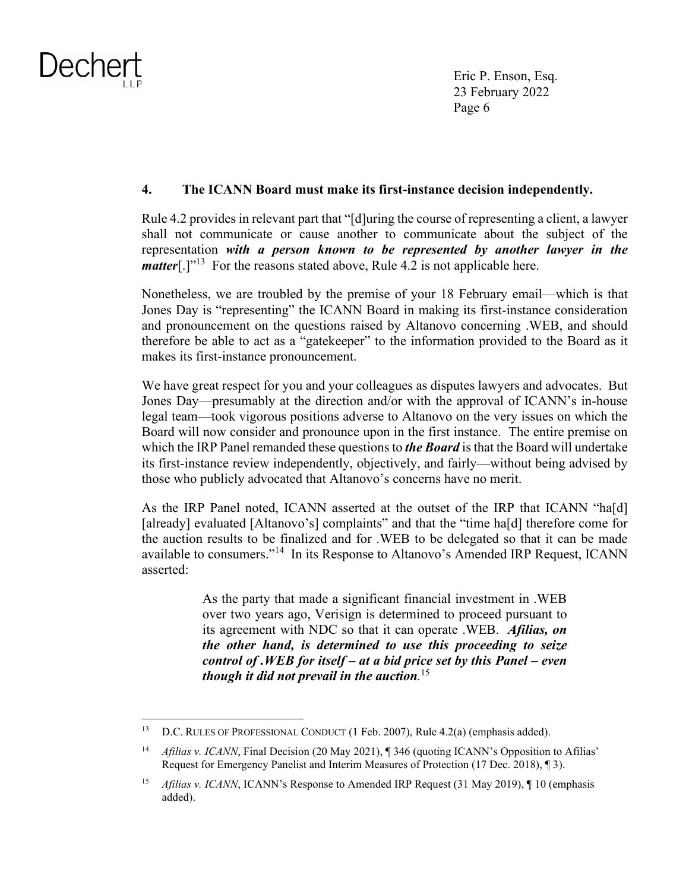Eric P. Enson, Esq. 23 February 2022 Page 6

### **4. The ICANN Board must make its first-instance decision independently.**

Rule 4.2 provides in relevant part that "[d]uring the course of representing a client, a lawyer shall not communicate or cause another to communicate about the subject of the representation *with a person known to be represented by another lawyer in the matter*[.]"<sup>13</sup> For the reasons stated above, Rule 4.2 is not applicable here.

Nonetheless, we are troubled by the premise of your 18 February email—which is that Jones Day is "representing" the ICANN Board in making its first-instance consideration and pronouncement on the questions raised by Altanovo concerning .WEB, and should therefore be able to act as a "gatekeeper" to the information provided to the Board as it makes its first-instance pronouncement.

We have great respect for you and your colleagues as disputes lawyers and advocates. But Jones Day—presumably at the direction and/or with the approval of ICANN's in-house legal team—took vigorous positions adverse to Altanovo on the very issues on which the Board will now consider and pronounce upon in the first instance. The entire premise on which the IRP Panel remanded these questions to *the Board* is that the Board will undertake its first-instance review independently, objectively, and fairly—without being advised by those who publicly advocated that Altanovo's concerns have no merit.

As the IRP Panel noted, ICANN asserted at the outset of the IRP that ICANN "ha[d] [already] evaluated [Altanovo's] complaints" and that the "time ha[d] therefore come for the auction results to be finalized and for .WEB to be delegated so that it can be made available to consumers."<sup>14</sup> In its Response to Altanovo's Amended IRP Request, ICANN asserted:

> As the party that made a significant financial investment in .WEB over two years ago, Verisign is determined to proceed pursuant to its agreement with NDC so that it can operate .WEB. *Afilias, on the other hand, is determined to use this proceeding to seize control of .WEB for itself – at a bid price set by this Panel – even though it did not prevail in the auction.* 15

<sup>&</sup>lt;sup>13</sup> D.C. RULES OF PROFESSIONAL CONDUCT (1 Feb. 2007), Rule  $4.2(a)$  (emphasis added).

<sup>&</sup>lt;sup>14</sup> *Afilias v. ICANN*, Final Decision (20 May 2021), ¶ 346 (quoting ICANN's Opposition to Afilias' Request for Emergency Panelist and Interim Measures of Protection (17 Dec. 2018), ¶ 3).

<sup>15</sup> *Afilias v. ICANN*, ICANN's Response to Amended IRP Request (31 May 2019), ¶ 10 (emphasis added).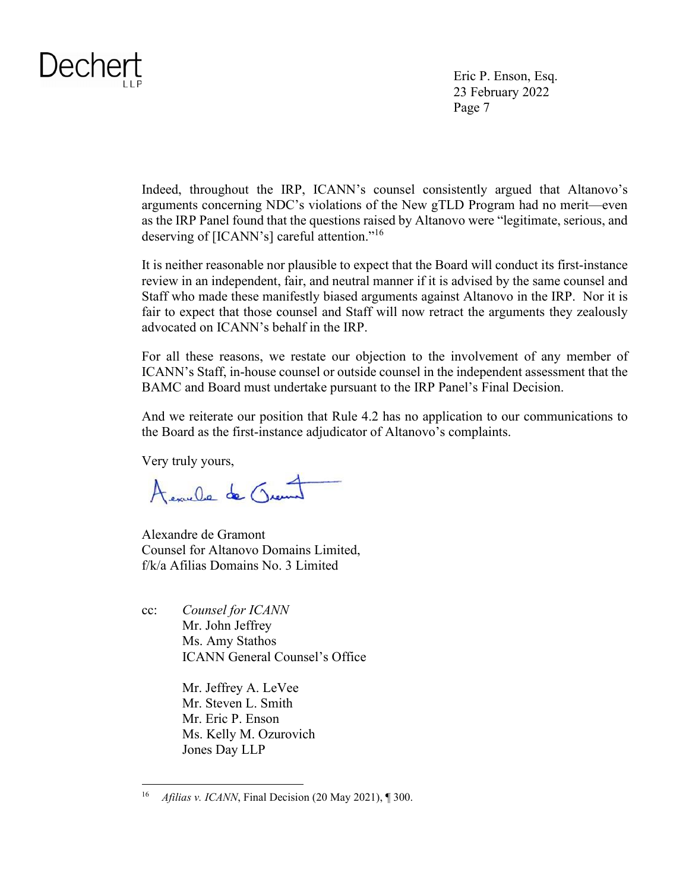Eric P. Enson, Esq. 23 February 2022 Page 7

Indeed, throughout the IRP, ICANN's counsel consistently argued that Altanovo's arguments concerning NDC's violations of the New gTLD Program had no merit—even as the IRP Panel found that the questions raised by Altanovo were "legitimate, serious, and deserving of [ICANN's] careful attention."<sup>16</sup>

It is neither reasonable nor plausible to expect that the Board will conduct its first-instance review in an independent, fair, and neutral manner if it is advised by the same counsel and Staff who made these manifestly biased arguments against Altanovo in the IRP. Nor it is fair to expect that those counsel and Staff will now retract the arguments they zealously advocated on ICANN's behalf in the IRP.

For all these reasons, we restate our objection to the involvement of any member of ICANN's Staff, in-house counsel or outside counsel in the independent assessment that the BAMC and Board must undertake pursuant to the IRP Panel's Final Decision.

And we reiterate our position that Rule 4.2 has no application to our communications to the Board as the first-instance adjudicator of Altanovo's complaints.

Very truly yours,

Acaule de Quent

Alexandre de Gramont Counsel for Altanovo Domains Limited, f/k/a Afilias Domains No. 3 Limited

cc: *Counsel for ICANN*  Mr. John Jeffrey Ms. Amy Stathos ICANN General Counsel's Office

> Mr. Jeffrey A. LeVee Mr. Steven L. Smith Mr. Eric P. Enson Ms. Kelly M. Ozurovich Jones Day LLP

<sup>16</sup> *Afilias v. ICANN*, Final Decision (20 May 2021), ¶ 300.